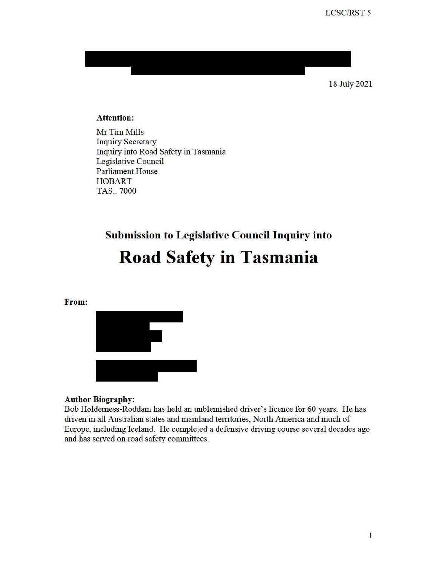18 July 2021

#### **Attention:**

Mr Tim Mills **Inquiry Secretary** fuquiry into Road Safety in Tasmania Legislative Council Parliament House **HOBART** TAS., 7000

# **Submission to Legislative Council Inquiry into Road Safety in Tasmania**

**From:** 



#### **Author Biography:**

Bob Holderness-Roddam has held an unblemished driver's licence for 60 years. He has driven in all Australian states and mainland territories, North America and much of Europe, including Iceland. He completed a defensive driving course several decades ago and has served on road safety committees.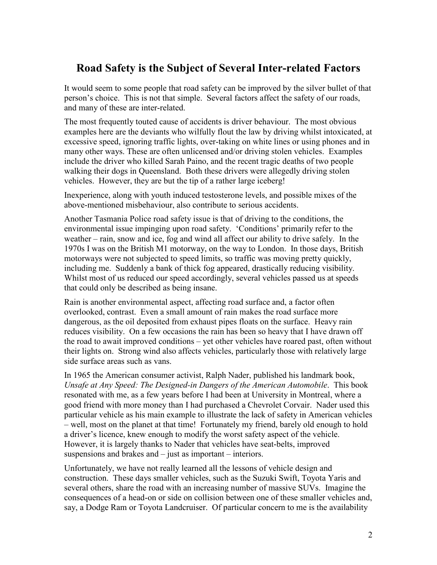# **Road Safety is the Subject of Several Inter-related Factors**

It would seem to some people that road safety can be improved by the silver bullet of that person's choice. This is not that simple. Several factors affect the safety of our roads, and many of these are inter-related.

 examples here are the deviants who wilfully flout the law by driving whilst intoxicated, at The most frequently touted cause of accidents is driver behaviour. The most obvious excessive speed, ignoring traffic lights, over-taking on white lines or using phones and in many other ways. These are often unlicensed and/or driving stolen vehicles. Examples include the driver who killed Sarah Paino, and the recent tragic deaths of two people walking their dogs in Queensland. Both these drivers were allegedly driving stolen vehicles. However, they are but the tip of a rather large iceberg!

Inexperience, along with youth induced testosterone levels, and possible mixes of the above-mentioned misbehaviour, also contribute to serious accidents.

 1970s I was on the British M1 motorway, on the way to London. In those days, British including me. Suddenly a bank of thick fog appeared, drastically reducing visibility. Another Tasmania Police road safety issue is that of driving to the conditions, the environmental issue impinging upon road safety. 'Conditions' primarily refer to the weather – rain, snow and ice, fog and wind all affect our ability to drive safely. In the motorways were not subjected to speed limits, so traffic was moving pretty quickly, Whilst most of us reduced our speed accordingly, several vehicles passed us at speeds that could only be described as being insane.

 overlooked, contrast. Even a small amount of rain makes the road surface more Rain is another environmental aspect, affecting road surface and, a factor often dangerous, as the oil deposited from exhaust pipes floats on the surface. Heavy rain reduces visibility. On a few occasions the rain has been so heavy that I have drawn off the road to await improved conditions – yet other vehicles have roared past, often without their lights on. Strong wind also affects vehicles, particularly those with relatively large side surface areas such as vans.

 resonated with me, as a few years before I had been at University in Montreal, where a In 1965 the American consumer activist, Ralph Nader, published his landmark book, *Unsafe at Any Speed: The Designed-in Dangers of the American Automobile*. This book good friend with more money than I had purchased a Chevrolet Corvair. Nader used this particular vehicle as his main example to illustrate the lack of safety in American vehicles – well, most on the planet at that time! Fortunately my friend, barely old enough to hold a driver's licence, knew enough to modify the worst safety aspect of the vehicle. However, it is largely thanks to Nader that vehicles have seat-belts, improved suspensions and brakes and – just as important – interiors.

 several others, share the road with an increasing number of massive SUVs. Imagine the Unfortunately, we have not really learned all the lessons of vehicle design and construction. These days smaller vehicles, such as the Suzuki Swift, Toyota Yaris and consequences of a head-on or side on collision between one of these smaller vehicles and, say, a Dodge Ram or Toyota Landcruiser. Of particular concern to me is the availability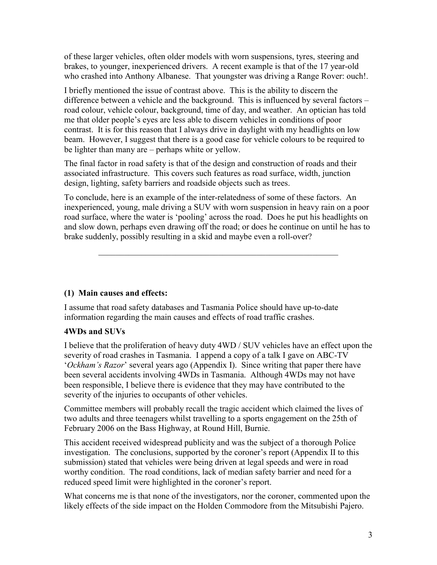of these larger vehicles, often older models with worn suspensions, tyres, steering and brakes, to younger, inexperienced drivers. A recent example is that of the 17 year-old who crashed into Anthony Albanese. That youngster was driving a Range Rover: ouch!.

 contrast. It is for this reason that I always drive in daylight with my headlights on low I briefly mentioned the issue of contrast above. This is the ability to discern the difference between a vehicle and the background. This is influenced by several factors – road colour, vehicle colour, background, time of day, and weather. An optician has told me that older people's eyes are less able to discern vehicles in conditions of poor beam. However, I suggest that there is a good case for vehicle colours to be required to be lighter than many are – perhaps white or yellow.

The final factor in road safety is that of the design and construction of roads and their associated infrastructure. This covers such features as road surface, width, junction design, lighting, safety barriers and roadside objects such as trees.

 and slow down, perhaps even drawing off the road; or does he continue on until he has to To conclude, here is an example of the inter-relatedness of some of these factors. An inexperienced, young, male driving a SUV with worn suspension in heavy rain on a poor road surface, where the water is 'pooling' across the road. Does he put his headlights on brake suddenly, possibly resulting in a skid and maybe even a roll-over?

\_\_\_\_\_\_\_\_\_\_\_\_\_\_\_\_\_\_\_\_\_\_\_\_\_\_\_\_\_\_\_\_\_\_\_\_\_\_\_\_\_\_\_\_\_\_\_\_\_\_\_\_\_\_\_\_

## **(1) Main causes and effects:**

 I assume that road safety databases and Tasmania Police should have up-to-date information regarding the main causes and effects of road traffic crashes.

# **4WDs and SUVs**

 severity of road crashes in Tasmania. I append a copy of a talk I gave on ABC-TV '*Ockham's Razor*' several years ago (Appendix I). Since writing that paper there have been several accidents involving 4WDs in Tasmania. Although 4WDs may not have I believe that the proliferation of heavy duty 4WD / SUV vehicles have an effect upon the been responsible, I believe there is evidence that they may have contributed to the severity of the injuries to occupants of other vehicles.

Committee members will probably recall the tragic accident which claimed the lives of two adults and three teenagers whilst travelling to a sports engagement on the 25th of February 2006 on the Bass Highway, at Round Hill, Burnie.

 worthy condition. The road conditions, lack of median safety barrier and need for a This accident received widespread publicity and was the subject of a thorough Police investigation. The conclusions, supported by the coroner's report (Appendix II to this submission) stated that vehicles were being driven at legal speeds and were in road reduced speed limit were highlighted in the coroner's report.

What concerns me is that none of the investigators, nor the coroner, commented upon the likely effects of the side impact on the Holden Commodore from the Mitsubishi Pajero.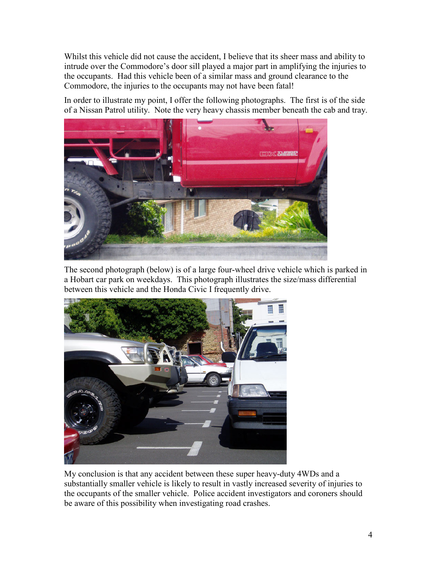Whilst this vehicle did not cause the accident, I believe that its sheer mass and ability to intrude over the Commodore's door sill played a major part in amplifying the injuries to the occupants. Had this vehicle been of a similar mass and ground clearance to the Commodore, the injuries to the occupants may not have been fatal!

In order to illustrate my point, I offer the following photographs. The first is of the side of a Nissan Patrol utility. Note the very heavy chassis member beneath the cab and tray.



The second photograph (below) is of a large four-wheel drive vehicle which is parked in a Hobart car park on weekdays. This photograph illustrates the size/mass differential between this vehicle and the Honda Civic I frequently drive.



My conclusion is that any accident between these super heavy-duty 4WDs and a substantially smaller vehicle is likely to result in vastly increased severity of injuries to the occupants of the smaller vehicle. Police accident investigators and coroners should be aware of this possibility when investigating road crashes.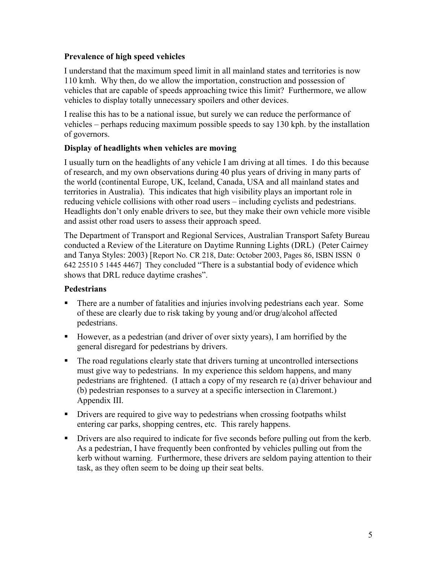## **Prevalence of high speed vehicles**

 vehicles that are capable of speeds approaching twice this limit? Furthermore, we allow I understand that the maximum speed limit in all mainland states and territories is now 110 kmh. Why then, do we allow the importation, construction and possession of vehicles to display totally unnecessary spoilers and other devices.

 I realise this has to be a national issue, but surely we can reduce the performance of vehicles – perhaps reducing maximum possible speeds to say 130 kph. by the installation of governors.

# **Display of headlights when vehicles are moving**

 territories in Australia). This indicates that high visibility plays an important role in I usually turn on the headlights of any vehicle I am driving at all times. I do this because of research, and my own observations during 40 plus years of driving in many parts of the world (continental Europe, UK, Iceland, Canada, USA and all mainland states and reducing vehicle collisions with other road users – including cyclists and pedestrians. Headlights don't only enable drivers to see, but they make their own vehicle more visible and assist other road users to assess their approach speed.

 The Department of Transport and Regional Services, Australian Transport Safety Bureau conducted a Review of the Literature on Daytime Running Lights (DRL) (Peter Cairney 642 25510 5 1445 4467] They concluded "There is a substantial body of evidence which and Tanya Styles: 2003) [Report No. CR 218, Date: October 2003, Pages 86, ISBN ISSN 0 shows that DRL reduce daytime crashes".

# **Pedestrians**

- **There are a number of fatalities and injuries involving pedestrians each year. Some** of these are clearly due to risk taking by young and/or drug/alcohol affected pedestrians.
- However, as a pedestrian (and driver of over sixty years), I am horrified by the general disregard for pedestrians by drivers.
- (b) pedestrian responses to a survey at a specific intersection in Claremont.) Appendix III. • The road regulations clearly state that drivers turning at uncontrolled intersections must give way to pedestrians. In my experience this seldom happens, and many pedestrians are frightened. (I attach a copy of my research re (a) driver behaviour and
- Drivers are required to give way to pedestrians when crossing footpaths whilst entering car parks, shopping centres, etc. This rarely happens.
- **Permion 1** Drivers are also required to indicate for five seconds before pulling out from the kerb. As a pedestrian, I have frequently been confronted by vehicles pulling out from the kerb without warning. Furthermore, these drivers are seldom paying attention to their task, as they often seem to be doing up their seat belts.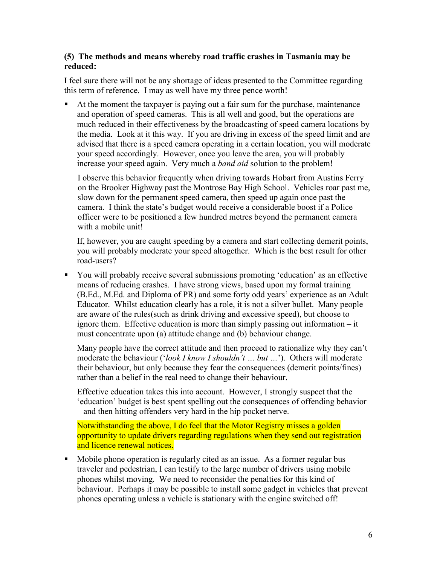### **(5) The methods and means whereby road traffic crashes in Tasmania may be reduced:**

 this term of reference. I may as well have my three pence worth! I feel sure there will not be any shortage of ideas presented to the Committee regarding

 At the moment the taxpayer is paying out a fair sum for the purchase, maintenance and operation of speed cameras. This is all well and good, but the operations are much reduced in their effectiveness by the broadcasting of speed camera locations by the media. Look at it this way. If you are driving in excess of the speed limit and are advised that there is a speed camera operating in a certain location, you will moderate your speed accordingly. However, once you leave the area, you will probably increase your speed again. Very much a *band aid* solution to the problem!

 slow down for the permanent speed camera, then speed up again once past the camera. I think the state's budget would receive a considerable boost if a Police I observe this behavior frequently when driving towards Hobart from Austins Ferry on the Brooker Highway past the Montrose Bay High School. Vehicles roar past me, officer were to be positioned a few hundred metres beyond the permanent camera with a mobile unit!

 If, however, you are caught speeding by a camera and start collecting demerit points, you will probably moderate your speed altogether. Which is the best result for other road-users?

 Educator. Whilst education clearly has a role, it is not a silver bullet. Many people must concentrate upon (a) attitude change and (b) behaviour change. You will probably receive several submissions promoting 'education' as an effective means of reducing crashes. I have strong views, based upon my formal training (B.Ed., M.Ed. and Diploma of PR) and some forty odd years' experience as an Adult are aware of the rules(such as drink driving and excessive speed), but choose to ignore them. Effective education is more than simply passing out information – it

 Many people have the correct attitude and then proceed to rationalize why they can't moderate the behaviour ('*look I know I shouldn't … but …*'). Others will moderate their behaviour, but only because they fear the consequences (demerit points/fines) rather than a belief in the real need to change their behaviour.

Effective education takes this into account. However, I strongly suspect that the 'education' budget is best spent spelling out the consequences of offending behavior – and then hitting offenders very hard in the hip pocket nerve.

Notwithstanding the above, I do feel that the Motor Registry misses a golden opportunity to update drivers regarding regulations when they send out registration and licence renewal notices.

• Mobile phone operation is regularly cited as an issue. As a former regular bus traveler and pedestrian, I can testify to the large number of drivers using mobile phones whilst moving. We need to reconsider the penalties for this kind of behaviour. Perhaps it may be possible to install some gadget in vehicles that prevent phones operating unless a vehicle is stationary with the engine switched off!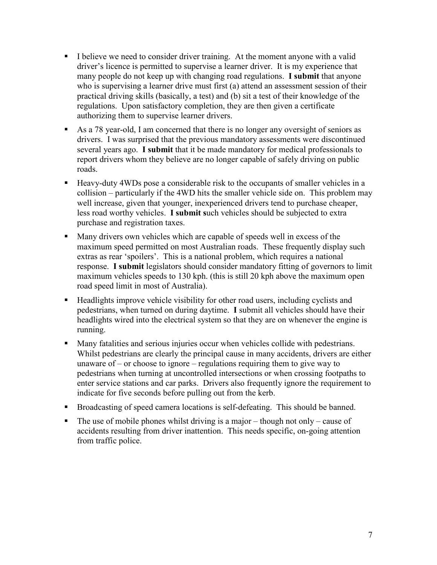- driver's licence is permitted to supervise a learner driver. It is my experience that regulations. Upon satisfactory completion, they are then given a certificate I believe we need to consider driver training. At the moment anyone with a valid many people do not keep up with changing road regulations. **I submit** that anyone who is supervising a learner drive must first (a) attend an assessment session of their practical driving skills (basically, a test) and (b) sit a test of their knowledge of the authorizing them to supervise learner drivers.
- several years ago. **I submit** that it be made mandatory for medical professionals to As a 78 year-old, I am concerned that there is no longer any oversight of seniors as drivers. I was surprised that the previous mandatory assessments were discontinued report drivers whom they believe are no longer capable of safely driving on public roads.
- less road worthy vehicles. **I submit s**uch vehicles should be subjected to extra Heavy-duty 4WDs pose a considerable risk to the occupants of smaller vehicles in a collision – particularly if the 4WD hits the smaller vehicle side on. This problem may well increase, given that younger, inexperienced drivers tend to purchase cheaper, purchase and registration taxes.
- extras as rear 'spoilers'. This is a national problem, which requires a national Many drivers own vehicles which are capable of speeds well in excess of the maximum speed permitted on most Australian roads. These frequently display such response. **I submit** legislators should consider mandatory fitting of governors to limit maximum vehicles speeds to 130 kph. (this is still 20 kph above the maximum open road speed limit in most of Australia).
- Headlights improve vehicle visibility for other road users, including cyclists and headlights wired into the electrical system so that they are on whenever the engine is pedestrians, when turned on during daytime. **I** submit all vehicles should have their running.
- Many fatalities and serious injuries occur when vehicles collide with pedestrians. Whilst pedestrians are clearly the principal cause in many accidents, drivers are either unaware of  $-$  or choose to ignore  $-$  regulations requiring them to give way to pedestrians when turning at uncontrolled intersections or when crossing footpaths to enter service stations and car parks. Drivers also frequently ignore the requirement to indicate for five seconds before pulling out from the kerb.
- Broadcasting of speed camera locations is self-defeating. This should be banned.
- The use of mobile phones whilst driving is a major though not only cause of accidents resulting from driver inattention. This needs specific, on-going attention from traffic police.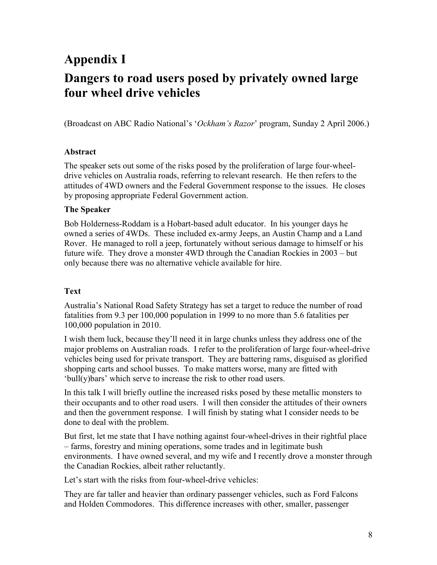# **Appendix I Dangers to road users posed by privately owned large four wheel drive vehicles**

(Broadcast on ABC Radio National's '*Ockham's Razor*' program, Sunday 2 April 2006.)

## **Abstract**

The speaker sets out some of the risks posed by the proliferation of large four-wheeldrive vehicles on Australia roads, referring to relevant research. He then refers to the attitudes of 4WD owners and the Federal Government response to the issues. He closes by proposing appropriate Federal Government action.

### **The Speaker**

 Bob Holderness-Roddam is a Hobart-based adult educator. In his younger days he owned a series of 4WDs. These included ex-army Jeeps, an Austin Champ and a Land Rover. He managed to roll a jeep, fortunately without serious damage to himself or his future wife. They drove a monster 4WD through the Canadian Rockies in 2003 – but only because there was no alternative vehicle available for hire.

## **Text**

Australia's National Road Safety Strategy has set a target to reduce the number of road fatalities from 9.3 per 100,000 population in 1999 to no more than 5.6 fatalities per 100,000 population in 2010.

I wish them luck, because they'll need it in large chunks unless they address one of the major problems on Australian roads. I refer to the proliferation of large four-wheel-drive vehicles being used for private transport. They are battering rams, disguised as glorified shopping carts and school busses. To make matters worse, many are fitted with 'bull(y)bars' which serve to increase the risk to other road users.

 and then the government response. I will finish by stating what I consider needs to be In this talk I will briefly outline the increased risks posed by these metallic monsters to their occupants and to other road users. I will then consider the attitudes of their owners done to deal with the problem.

But first, let me state that I have nothing against four-wheel-drives in their rightful place – farms, forestry and mining operations, some trades and in legitimate bush environments. I have owned several, and my wife and I recently drove a monster through the Canadian Rockies, albeit rather reluctantly.

Let's start with the risks from four-wheel-drive vehicles:

They are far taller and heavier than ordinary passenger vehicles, such as Ford Falcons and Holden Commodores. This difference increases with other, smaller, passenger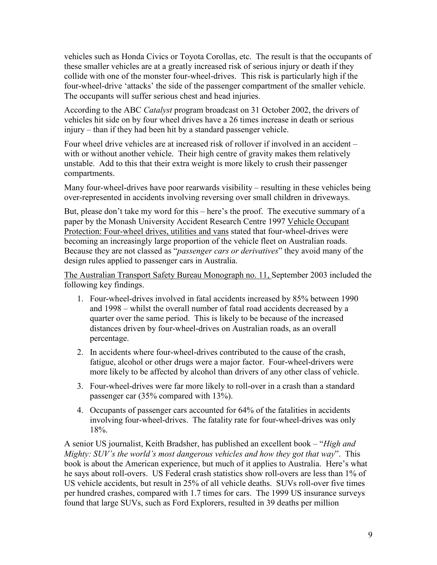vehicles such as Honda Civics or Toyota Corollas, etc. The result is that the occupants of collide with one of the monster four-wheel-drives. This risk is particularly high if the four-wheel-drive 'attacks' the side of the passenger compartment of the smaller vehicle. these smaller vehicles are at a greatly increased risk of serious injury or death if they The occupants will suffer serious chest and head injuries.

According to the ABC *Catalyst* program broadcast on 31 October 2002, the drivers of vehicles hit side on by four wheel drives have a 26 times increase in death or serious injury – than if they had been hit by a standard passenger vehicle.

Four wheel drive vehicles are at increased risk of rollover if involved in an accident – with or without another vehicle. Their high centre of gravity makes them relatively unstable. Add to this that their extra weight is more likely to crush their passenger compartments.

Many four-wheel-drives have poor rearwards visibility – resulting in these vehicles being over-represented in accidents involving reversing over small children in driveways.

 Because they are not classed as "*passenger cars or derivatives*" they avoid many of the But, please don't take my word for this – here's the proof. The executive summary of a paper by the Monash University Accident Research Centre 1997 Vehicle Occupant Protection: Four-wheel drives, utilities and vans stated that four-wheel-drives were becoming an increasingly large proportion of the vehicle fleet on Australian roads. design rules applied to passenger cars in Australia.

 following key findings. The Australian Transport Safety Bureau Monograph no. 11, September 2003 included the

- and 1998 whilst the overall number of fatal road accidents decreased by a distances driven by four-wheel-drives on Australian roads, as an overall 1. Four-wheel-drives involved in fatal accidents increased by 85% between 1990 quarter over the same period. This is likely to be because of the increased percentage.
- more likely to be affected by alcohol than drivers of any other class of vehicle. 2. In accidents where four-wheel-drives contributed to the cause of the crash, fatigue, alcohol or other drugs were a major factor. Four-wheel-drivers were
- passenger car (35% compared with 13%). 3. Four-wheel-drives were far more likely to roll-over in a crash than a standard
- involving four-wheel-drives. The fatality rate for four-wheel-drives was only 4. Occupants of passenger cars accounted for 64% of the fatalities in accidents 18%.

A senior US journalist, Keith Bradsher, has published an excellent book – "*High and Mighty: SUV's the world's most dangerous vehicles and how they got that way*". This book is about the American experience, but much of it applies to Australia. Here's what he says about roll-overs. US Federal crash statistics show roll-overs are less than 1% of US vehicle accidents, but result in 25% of all vehicle deaths. SUVs roll-over five times per hundred crashes, compared with 1.7 times for cars. The 1999 US insurance surveys found that large SUVs, such as Ford Explorers, resulted in 39 deaths per million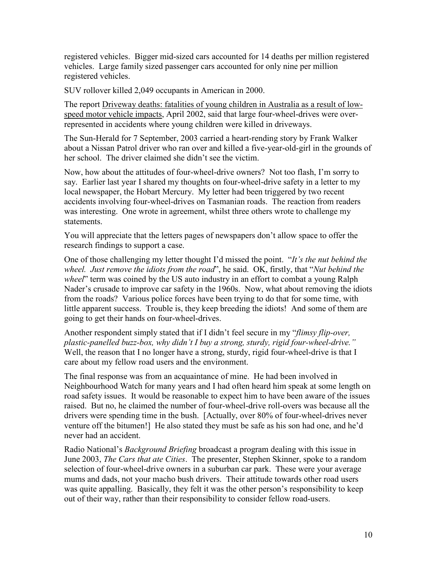registered vehicles. Bigger mid-sized cars accounted for 14 deaths per million registered vehicles. Large family sized passenger cars accounted for only nine per million registered vehicles.

SUV rollover killed 2,049 occupants in American in 2000.

The report Driveway deaths: fatalities of young children in Australia as a result of low- represented in accidents where young children were killed in driveways. speed motor vehicle impacts, April 2002, said that large four-wheel-drives were over-

The Sun-Herald for 7 September, 2003 carried a heart-rending story by Frank Walker about a Nissan Patrol driver who ran over and killed a five-year-old-girl in the grounds of her school. The driver claimed she didn't see the victim.

 say. Earlier last year I shared my thoughts on four-wheel-drive safety in a letter to my local newspaper, the Hobart Mercury. My letter had been triggered by two recent Now, how about the attitudes of four-wheel-drive owners? Not too flash, I'm sorry to accidents involving four-wheel-drives on Tasmanian roads. The reaction from readers was interesting. One wrote in agreement, whilst three others wrote to challenge my statements.

You will appreciate that the letters pages of newspapers don't allow space to offer the research findings to support a case.

One of those challenging my letter thought I'd missed the point. "*It's the nut behind the wheel. Just remove the idiots from the road*", he said. OK, firstly, that "*Nut behind the wheel*" term was coined by the US auto industry in an effort to combat a young Ralph Nader's crusade to improve car safety in the 1960s. Now, what about removing the idiots from the roads? Various police forces have been trying to do that for some time, with little apparent success. Trouble is, they keep breeding the idiots! And some of them are going to get their hands on four-wheel-drives.

 *plastic-panelled buzz-box, why didn't I buy a strong, sturdy, rigid four-wheel-drive."*  care about my fellow road users and the environment. Another respondent simply stated that if I didn't feel secure in my "*flimsy flip-over,*  Well, the reason that I no longer have a strong, sturdy, rigid four-wheel-drive is that I

 road safety issues. It would be reasonable to expect him to have been aware of the issues The final response was from an acquaintance of mine. He had been involved in Neighbourhood Watch for many years and I had often heard him speak at some length on raised. But no, he claimed the number of four-wheel-drive roll-overs was because all the drivers were spending time in the bush. [Actually, over 80% of four-wheel-drives never venture off the bitumen!] He also stated they must be safe as his son had one, and he'd never had an accident.

 out of their way, rather than their responsibility to consider fellow road-users. Radio National's *Background Briefing* broadcast a program dealing with this issue in June 2003, *The Cars that ate Cities*. The presenter, Stephen Skinner, spoke to a random selection of four-wheel-drive owners in a suburban car park. These were your average mums and dads, not your macho bush drivers. Their attitude towards other road users was quite appalling. Basically, they felt it was the other person's responsibility to keep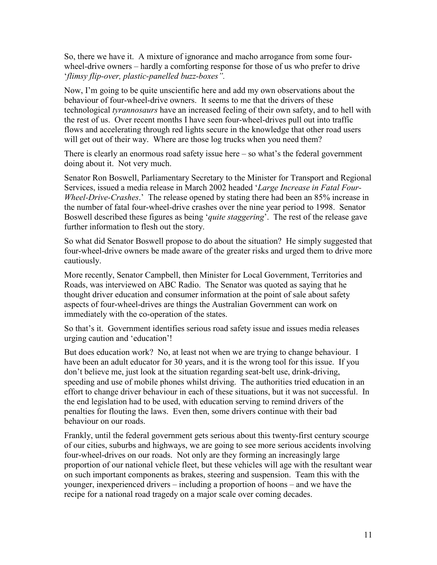So, there we have it. A mixture of ignorance and macho arrogance from some fourwheel-drive owners – hardly a comforting response for those of us who prefer to drive '*flimsy flip-over, plastic-panelled buzz-boxes".* 

 Now, I'm going to be quite unscientific here and add my own observations about the behaviour of four-wheel-drive owners. It seems to me that the drivers of these technological *tyrannosaurs* have an increased feeling of their own safety, and to hell with the rest of us. Over recent months I have seen four-wheel-drives pull out into traffic flows and accelerating through red lights secure in the knowledge that other road users will get out of their way. Where are those log trucks when you need them?

 There is clearly an enormous road safety issue here – so what's the federal government doing about it. Not very much.

 *Wheel-Drive-Crashes*.' The release opened by stating there had been an 85% increase in Senator Ron Boswell, Parliamentary Secretary to the Minister for Transport and Regional Services, issued a media release in March 2002 headed '*Large Increase in Fatal Four*the number of fatal four-wheel-drive crashes over the nine year period to 1998. Senator Boswell described these figures as being '*quite staggering*'. The rest of the release gave further information to flesh out the story.

 four-wheel-drive owners be made aware of the greater risks and urged them to drive more So what did Senator Boswell propose to do about the situation? He simply suggested that cautiously.

More recently, Senator Campbell, then Minister for Local Government, Territories and Roads, was interviewed on ABC Radio. The Senator was quoted as saying that he thought driver education and consumer information at the point of sale about safety aspects of four-wheel-drives are things the Australian Government can work on immediately with the co-operation of the states.

So that's it. Government identifies serious road safety issue and issues media releases urging caution and 'education'!

 effort to change driver behaviour in each of these situations, but it was not successful. In behaviour on our roads. But does education work? No, at least not when we are trying to change behaviour. I have been an adult educator for 30 years, and it is the wrong tool for this issue. If you don't believe me, just look at the situation regarding seat-belt use, drink-driving, speeding and use of mobile phones whilst driving. The authorities tried education in an the end legislation had to be used, with education serving to remind drivers of the penalties for flouting the laws. Even then, some drivers continue with their bad

 Frankly, until the federal government gets serious about this twenty-first century scourge of our cities, suburbs and highways, we are going to see more serious accidents involving four-wheel-drives on our roads. Not only are they forming an increasingly large proportion of our national vehicle fleet, but these vehicles will age with the resultant wear on such important components as brakes, steering and suspension. Team this with the younger, inexperienced drivers – including a proportion of hoons – and we have the recipe for a national road tragedy on a major scale over coming decades.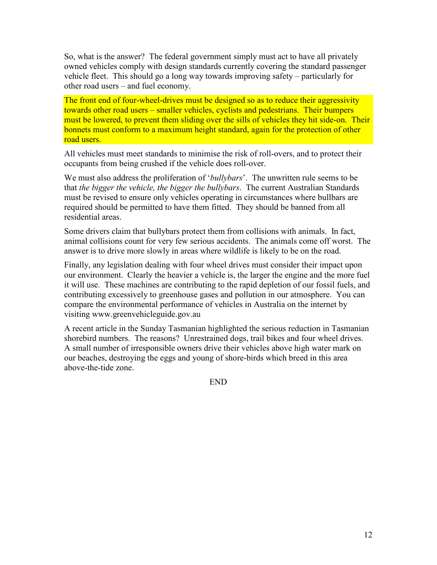So, what is the answer? The federal government simply must act to have all privately owned vehicles comply with design standards currently covering the standard passenger vehicle fleet. This should go a long way towards improving safety – particularly for other road users – and fuel economy.

 The front end of four-wheel-drives must be designed so as to reduce their aggressivity towards other road users – smaller vehicles, cyclists and pedestrians. Their bumpers must be lowered, to prevent them sliding over the sills of vehicles they hit side-on. Their bonnets must conform to a maximum height standard, again for the protection of other road users.

All vehicles must meet standards to minimise the risk of roll-overs, and to protect their occupants from being crushed if the vehicle does roll-over.

We must also address the proliferation of '*bullybars*'. The unwritten rule seems to be that *the bigger the vehicle, the bigger the bullybars*. The current Australian Standards must be revised to ensure only vehicles operating in circumstances where bullbars are required should be permitted to have them fitted. They should be banned from all residential areas.

 Some drivers claim that bullybars protect them from collisions with animals. In fact, animal collisions count for very few serious accidents. The animals come off worst. The answer is to drive more slowly in areas where wildlife is likely to be on the road.

 our environment. Clearly the heavier a vehicle is, the larger the engine and the more fuel Finally, any legislation dealing with four wheel drives must consider their impact upon it will use. These machines are contributing to the rapid depletion of our fossil fuels, and contributing excessively to greenhouse gases and pollution in our atmosphere. You can compare the environmental performance of vehicles in Australia on the internet by visiting <www.greenvehicleguide.gov.au>

A recent article in the Sunday Tasmanian highlighted the serious reduction in Tasmanian shorebird numbers. The reasons? Unrestrained dogs, trail bikes and four wheel drives. A small number of irresponsible owners drive their vehicles above high water mark on our beaches, destroying the eggs and young of shore-birds which breed in this area above-the-tide zone.

END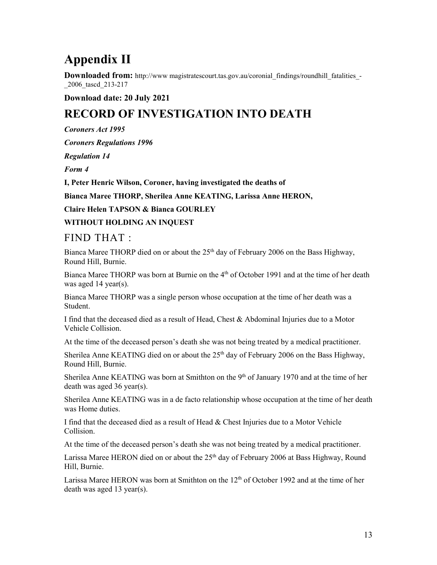# **Appendix II**

**Downloaded from:** http://www.magistratescourt.tas.gov.au/coronial\_findings/roundhill\_fatalities\_-\_2006\_tascd\_213-217

## **Download date: 20 July 2021**

# **RECORD OF INVESTIGATION INTO DEATH**

*Coroners Act 1995* 

*Coroners Regulations 1996* 

*Regulation 14* 

*Form 4* 

**I, Peter Henric Wilson, Coroner, having investigated the deaths of** 

 **Bianca Maree THORP, Sherilea Anne KEATING, Larissa Anne HERON,** 

**Claire Helen TAPSON & Bianca GOURLEY** 

**WITHOUT HOLDING AN INQUEST** 

# FIND THAT :

Bianca Maree THORP died on or about the 25<sup>th</sup> day of February 2006 on the Bass Highway. Round Hill, Burnie.

Bianca Maree THORP was born at Burnie on the 4<sup>th</sup> of October 1991 and at the time of her death was aged 14 year(s).

Bianca Maree THORP was a single person whose occupation at the time of her death was a Student.

 I find that the deceased died as a result of Head, Chest & Abdominal Injuries due to a Motor Vehicle Collision.

At the time of the deceased person's death she was not being treated by a medical practitioner.

Sherilea Anne KEATING died on or about the  $25<sup>th</sup>$  day of February 2006 on the Bass Highway, Round Hill, Burnie.

Sherilea Anne KEATING was born at Smithton on the 9<sup>th</sup> of January 1970 and at the time of her death was aged 36 year(s).

 Sherilea Anne KEATING was in a de facto relationship whose occupation at the time of her death was Home duties.

 I find that the deceased died as a result of Head & Chest Injuries due to a Motor Vehicle Collision.

At the time of the deceased person's death she was not being treated by a medical practitioner.

Larissa Maree HERON died on or about the  $25<sup>th</sup>$  day of February 2006 at Bass Highway, Round Hill, Burnie.

Larissa Maree HERON was born at Smithton on the  $12<sup>th</sup>$  of October 1992 and at the time of her death was aged 13 year(s).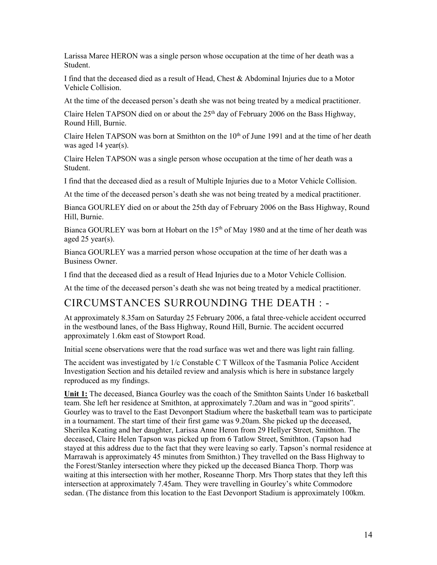Larissa Maree HERON was a single person whose occupation at the time of her death was a Student.

I find that the deceased died as a result of Head, Chest & Abdominal Injuries due to a Motor Vehicle Collision.

At the time of the deceased person's death she was not being treated by a medical practitioner.

Claire Helen TAPSON died on or about the  $25<sup>th</sup>$  day of February 2006 on the Bass Highway, Round Hill, Burnie.

Claire Helen TAPSON was born at Smithton on the  $10<sup>th</sup>$  of June 1991 and at the time of her death was aged 14 year(s).

Claire Helen TAPSON was a single person whose occupation at the time of her death was a Student.

I find that the deceased died as a result of Multiple Injuries due to a Motor Vehicle Collision.

At the time of the deceased person's death she was not being treated by a medical practitioner.

 Bianca GOURLEY died on or about the 25th day of February 2006 on the Bass Highway, Round Hill, Burnie.

Bianca GOURLEY was born at Hobart on the 15<sup>th</sup> of May 1980 and at the time of her death was aged 25 year(s).

Bianca GOURLEY was a married person whose occupation at the time of her death was a Business Owner.

I find that the deceased died as a result of Head Injuries due to a Motor Vehicle Collision.

At the time of the deceased person's death she was not being treated by a medical practitioner.

# CIRCUMSTANCES SURROUNDING THE DEATH : -

At approximately 8.35am on Saturday 25 February 2006, a fatal three-vehicle accident occurred in the westbound lanes, of the Bass Highway, Round Hill, Burnie. The accident occurred approximately 1.6km east of Stowport Road.

Initial scene observations were that the road surface was wet and there was light rain falling.

 The accident was investigated by 1/c Constable C T Willcox of the Tasmania Police Accident Investigation Section and his detailed review and analysis which is here in substance largely reproduced as my findings.

 Gourley was to travel to the East Devonport Stadium where the basketball team was to participate the Forest/Stanley intersection where they picked up the deceased Bianca Thorp. Thorp was sedan. (The distance from this location to the East Devonport Stadium is approximately 100km. **Unit 1:** The deceased, Bianca Gourley was the coach of the Smithton Saints Under 16 basketball team. She left her residence at Smithton, at approximately 7.20am and was in "good spirits". in a tournament. The start time of their first game was 9.20am. She picked up the deceased, Sherilea Keating and her daughter, Larissa Anne Heron from 29 Hellyer Street, Smithton. The deceased, Claire Helen Tapson was picked up from 6 Tatlow Street, Smithton. (Tapson had stayed at this address due to the fact that they were leaving so early. Tapson's normal residence at Marrawah is approximately 45 minutes from Smithton.) They travelled on the Bass Highway to waiting at this intersection with her mother, Roseanne Thorp. Mrs Thorp states that they left this intersection at approximately 7.45am. They were travelling in Gourley's white Commodore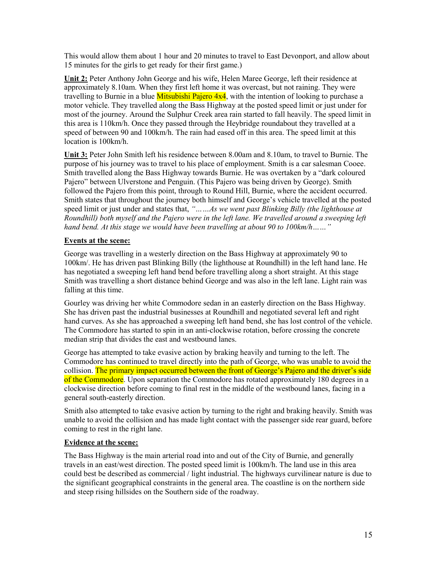This would allow them about 1 hour and 20 minutes to travel to East Devonport, and allow about 15 minutes for the girls to get ready for their first game.)

 **Unit 2:** Peter Anthony John George and his wife, Helen Maree George, left their residence at approximately 8.10am. When they first left home it was overcast, but not raining. They were travelling to Burnie in a blue <mark>Mitsubishi Pajero 4x4</mark>, with the intention of looking to purchase a motor vehicle. They travelled along the Bass Highway at the posted speed limit or just under for most of the journey. Around the Sulphur Creek area rain started to fall heavily. The speed limit in speed of between 90 and 100km/h. The rain had eased off in this area. The speed limit at this this area is 110km/h. Once they passed through the Heybridge roundabout they travelled at a location is 100km/h.

 **Unit 3:** Peter John Smith left his residence between 8.00am and 8.10am, to travel to Burnie. The followed the Pajero from this point, through to Round Hill, Burnie, where the accident occurred. speed limit or just under and states that, *"……As we went past Blinking Billy (the lighthouse at Roundhill) both myself and the Pajero were in the left lane. We travelled around a sweeping left*  purpose of his journey was to travel to his place of employment. Smith is a car salesman Cooee. Smith travelled along the Bass Highway towards Burnie. He was overtaken by a "dark coloured Pajero" between Ulverstone and Penguin. (This Pajero was being driven by George). Smith Smith states that throughout the journey both himself and George's vehicle travelled at the posted *hand bend. At this stage we would have been travelling at about 90 to 100km/h……"* 

#### **Events at the scene:**

 has negotiated a sweeping left hand bend before travelling along a short straight. At this stage George was travelling in a westerly direction on the Bass Highway at approximately 90 to 100km/. He has driven past Blinking Billy (the lighthouse at Roundhill) in the left hand lane. He Smith was travelling a short distance behind George and was also in the left lane. Light rain was falling at this time.

 She has driven past the industrial businesses at Roundhill and negotiated several left and right hand curves. As she has approached a sweeping left hand bend, she has lost control of the vehicle. Gourley was driving her white Commodore sedan in an easterly direction on the Bass Highway. The Commodore has started to spin in an anti-clockwise rotation, before crossing the concrete median strip that divides the east and westbound lanes.

 George has attempted to take evasive action by braking heavily and turning to the left. The Commodore has continued to travel directly into the path of George, who was unable to avoid the collision. The primary impact occurred between the front of George's Pajero and the driver's side clockwise direction before coming to final rest in the middle of the westbound lanes, facing in a of the Commodore. Upon separation the Commodore has rotated approximately 180 degrees in a general south-easterly direction.

 Smith also attempted to take evasive action by turning to the right and braking heavily. Smith was coming to rest in the right lane. unable to avoid the collision and has made light contact with the passenger side rear guard, before

#### **Evidence at the scene:**

 and steep rising hillsides on the Southern side of the roadway. The Bass Highway is the main arterial road into and out of the City of Burnie, and generally travels in an east/west direction. The posted speed limit is 100km/h. The land use in this area could best be described as commercial / light industrial. The highways curvilinear nature is due to the significant geographical constraints in the general area. The coastline is on the northern side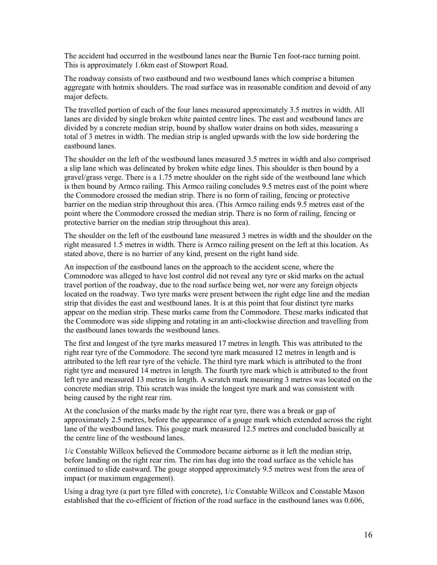The accident had occurred in the westbound lanes near the Burnie Ten foot-race turning point. This is approximately 1.6km east of Stowport Road.

The roadway consists of two eastbound and two westbound lanes which comprise a bitumen aggregate with hotmix shoulders. The road surface was in reasonable condition and devoid of any major defects.

 The travelled portion of each of the four lanes measured approximately 3.5 metres in width. All lanes are divided by single broken white painted centre lines. The east and westbound lanes are total of 3 metres in width. The median strip is angled upwards with the low side bordering the divided by a concrete median strip, bound by shallow water drains on both sides, measuring a eastbound lanes.

 The shoulder on the left of the westbound lanes measured 3.5 metres in width and also comprised the Commodore crossed the median strip. There is no form of railing, fencing or protective barrier on the median strip throughout this area. (This Armco railing ends 9.5 metres east of the a slip lane which was delineated by broken white edge lines. This shoulder is then bound by a gravel/grass verge. There is a 1.75 metre shoulder on the right side of the westbound lane which is then bound by Armco railing. This Armco railing concludes 9.5 metres east of the point where point where the Commodore crossed the median strip. There is no form of railing, fencing or protective barrier on the median strip throughout this area).

 The shoulder on the left of the eastbound lane measured 3 metres in width and the shoulder on the right measured 1.5 metres in width. There is Armco railing present on the left at this location. As stated above, there is no barrier of any kind, present on the right hand side.

 Commodore was alleged to have lost control did not reveal any tyre or skid marks on the actual travel portion of the roadway, due to the road surface being wet, nor were any foreign objects strip that divides the east and westbound lanes. It is at this point that four distinct tyre marks the Commodore was side slipping and rotating in an anti-clockwise direction and travelling from An inspection of the eastbound lanes on the approach to the accident scene, where the located on the roadway. Two tyre marks were present between the right edge line and the median appear on the median strip. These marks came from the Commodore. These marks indicated that the eastbound lanes towards the westbound lanes.

 The first and longest of the tyre marks measured 17 metres in length. This was attributed to the attributed to the left rear tyre of the vehicle. The third tyre mark which is attributed to the front left tyre and measured 13 metres in length. A scratch mark measuring 3 metres was located on the concrete median strip. This scratch was inside the longest tyre mark and was consistent with right rear tyre of the Commodore. The second tyre mark measured 12 metres in length and is right tyre and measured 14 metres in length. The fourth tyre mark which is attributed to the front being caused by the right rear rim.

 lane of the westbound lanes. This gouge mark measured 12.5 metres and concluded basically at At the conclusion of the marks made by the right rear tyre, there was a break or gap of approximately 2.5 metres, before the appearance of a gouge mark which extended across the right the centre line of the westbound lanes.

 before landing on the right rear rim. The rim has dug into the road surface as the vehicle has 1/c Constable Willcox believed the Commodore became airborne as it left the median strip, continued to slide eastward. The gouge stopped approximately 9.5 metres west from the area of impact (or maximum engagement).

 Using a drag tyre (a part tyre filled with concrete), 1/c Constable Willcox and Constable Mason established that the co-efficient of friction of the road surface in the eastbound lanes was 0.606,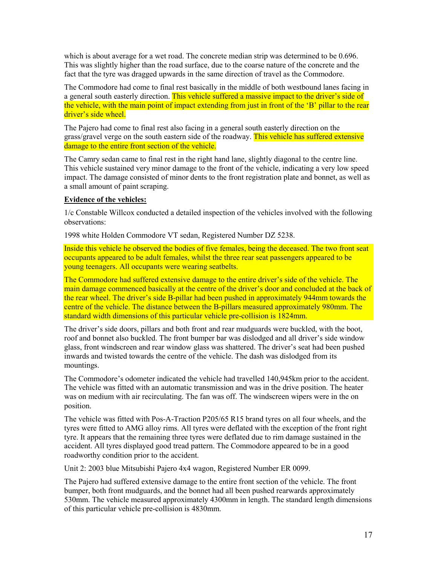which is about average for a wet road. The concrete median strip was determined to be 0.696. This was slightly higher than the road surface, due to the coarse nature of the concrete and the fact that the tyre was dragged upwards in the same direction of travel as the Commodore.

 the vehicle, with the main point of impact extending from just in front of the 'B' pillar to the rear The Commodore had come to final rest basically in the middle of both westbound lanes facing in a general south easterly direction. This vehicle suffered a massive impact to the driver's side of driver's side wheel.

The Pajero had come to final rest also facing in a general south easterly direction on the grass/gravel verge on the south eastern side of the roadway. This vehicle has suffered extensive damage to the entire front section of the vehicle.

The Camry sedan came to final rest in the right hand lane, slightly diagonal to the centre line. This vehicle sustained very minor damage to the front of the vehicle, indicating a very low speed impact. The damage consisted of minor dents to the front registration plate and bonnet, as well as a small amount of paint scraping.

#### **Evidence of the vehicles:**

 1/c Constable Willcox conducted a detailed inspection of the vehicles involved with the following observations:

1998 white Holden Commodore VT sedan, Registered Number DZ 5238.

Inside this vehicle he observed the bodies of five females, being the deceased. The two front seat occupants appeared to be adult females, whilst the three rear seat passengers appeared to be young teenagers. All occupants were wearing seatbelts.

 main damage commenced basically at the centre of the driver's door and concluded at the back of The Commodore had suffered extensive damage to the entire driver's side of the vehicle. The the rear wheel. The driver's side B-pillar had been pushed in approximately 944mm towards the centre of the vehicle. The distance between the B-pillars measured approximately 980mm. The standard width dimensions of this particular vehicle pre-collision is 1824mm.

 inwards and twisted towards the centre of the vehicle. The dash was dislodged from its The driver's side doors, pillars and both front and rear mudguards were buckled, with the boot, roof and bonnet also buckled. The front bumper bar was dislodged and all driver's side window glass, front windscreen and rear window glass was shattered. The driver's seat had been pushed mountings.

 was on medium with air recirculating. The fan was off. The windscreen wipers were in the on The Commodore's odometer indicated the vehicle had travelled 140,945km prior to the accident. The vehicle was fitted with an automatic transmission and was in the drive position. The heater position.

 tyres were fitted to AMG alloy rims. All tyres were deflated with the exception of the front right The vehicle was fitted with Pos-A-Traction P205/65 R15 brand tyres on all four wheels, and the tyre. It appears that the remaining three tyres were deflated due to rim damage sustained in the accident. All tyres displayed good tread pattern. The Commodore appeared to be in a good roadworthy condition prior to the accident.

Unit 2: 2003 blue Mitsubishi Pajero 4x4 wagon, Registered Number ER 0099.

 The Pajero had suffered extensive damage to the entire front section of the vehicle. The front bumper, both front mudguards, and the bonnet had all been pushed rearwards approximately 530mm. The vehicle measured approximately 4300mm in length. The standard length dimensions of this particular vehicle pre-collision is 4830mm.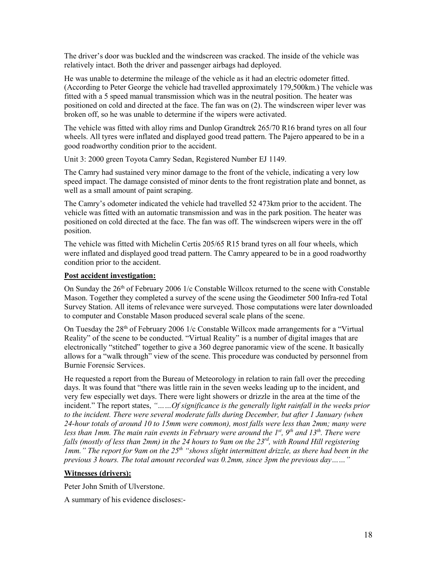The driver's door was buckled and the windscreen was cracked. The inside of the vehicle was relatively intact. Both the driver and passenger airbags had deployed.

 positioned on cold and directed at the face. The fan was on (2). The windscreen wiper lever was He was unable to determine the mileage of the vehicle as it had an electric odometer fitted. (According to Peter George the vehicle had travelled approximately 179,500km.) The vehicle was fitted with a 5 speed manual transmission which was in the neutral position. The heater was broken off, so he was unable to determine if the wipers were activated.

 The vehicle was fitted with alloy rims and Dunlop Grandtrek 265/70 R16 brand tyres on all four wheels. All tyres were inflated and displayed good tread pattern. The Pajero appeared to be in a good roadworthy condition prior to the accident.

Unit 3: 2000 green Toyota Camry Sedan, Registered Number EJ 1149.

 speed impact. The damage consisted of minor dents to the front registration plate and bonnet, as The Camry had sustained very minor damage to the front of the vehicle, indicating a very low well as a small amount of paint scraping.

 vehicle was fitted with an automatic transmission and was in the park position. The heater was positioned on cold directed at the face. The fan was off. The windscreen wipers were in the off The Camry's odometer indicated the vehicle had travelled 52 473km prior to the accident. The position.

 The vehicle was fitted with Michelin Certis 205/65 R15 brand tyres on all four wheels, which were inflated and displayed good tread pattern. The Camry appeared to be in a good roadworthy condition prior to the accident.

#### **Post accident investigation:**

On Sunday the 26<sup>th</sup> of February 2006 1/c Constable Willcox returned to the scene with Constable Mason. Together they completed a survey of the scene using the Geodimeter 500 Infra-red Total Survey Station. All items of relevance were surveyed. Those computations were later downloaded to computer and Constable Mason produced several scale plans of the scene.

On Tuesday the  $28<sup>th</sup>$  of February 2006 1/c Constable Willcox made arrangements for a "Virtual Reality" of the scene to be conducted. "Virtual Reality" is a number of digital images that are electronically "stitched" together to give a 360 degree panoramic view of the scene. It basically allows for a "walk through" view of the scene. This procedure was conducted by personnel from Burnie Forensic Services.

 He requested a report from the Bureau of Meteorology in relation to rain fall over the preceding days. It was found that "there was little rain in the seven weeks leading up to the incident, and  *24-hour totals of around 10 to 15mm were common), most falls were less than 2mm; many were*  falls (mostly of less than 2mm) in the 24 hours to 9am on the 23<sup>rd</sup>, with Round Hill registering *Imm.*" The report for 9am on the 25<sup>th</sup> "shows slight intermittent drizzle, as there had been in the  *previous 3 hours. The total amount recorded was 0.2mm, since 3pm the previous day……"*  very few especially wet days. There were light showers or drizzle in the area at the time of the incident." The report states, *"……Of significance is the generally light rainfall in the weeks prior to the incident. There were several moderate falls during December, but after 1 January (when less than 1mm. The main rain events in February were around the 1st, 9th and 13th. There were* 

#### **Witnesses (drivers):**

Peter John Smith of Ulverstone.

A summary of his evidence discloses:-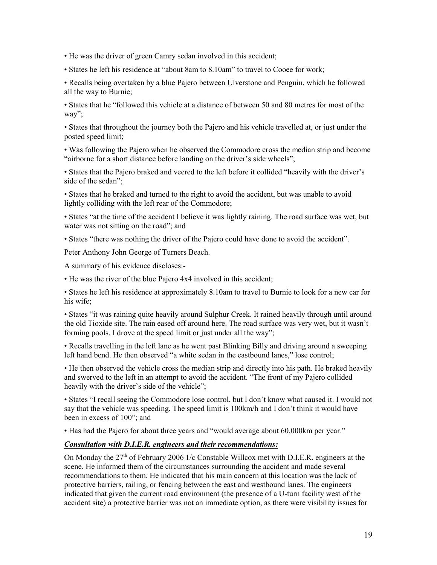• He was the driver of green Camry sedan involved in this accident;

• States he left his residence at "about 8am to 8.10am" to travel to Cooee for work;

• Recalls being overtaken by a blue Pajero between Ulverstone and Penguin, which he followed all the way to Burnie;

• States that he "followed this vehicle at a distance of between 50 and 80 metres for most of the way";

 • States that throughout the journey both the Pajero and his vehicle travelled at, or just under the posted speed limit;

• Was following the Pajero when he observed the Commodore cross the median strip and become "airborne for a short distance before landing on the driver's side wheels";

• States that the Pajero braked and veered to the left before it collided "heavily with the driver's side of the sedan";

 • States that he braked and turned to the right to avoid the accident, but was unable to avoid lightly colliding with the left rear of the Commodore;

• States "at the time of the accident I believe it was lightly raining. The road surface was wet, but water was not sitting on the road"; and

• States "there was nothing the driver of the Pajero could have done to avoid the accident".

Peter Anthony John George of Turners Beach.

A summary of his evidence discloses:-

• He was the river of the blue Pajero 4x4 involved in this accident;

• States he left his residence at approximately 8.10am to travel to Burnie to look for a new car for his wife;

 the old Tioxide site. The rain eased off around here. The road surface was very wet, but it wasn't forming pools. I drove at the speed limit or just under all the way"; • States "it was raining quite heavily around Sulphur Creek. It rained heavily through until around

 • Recalls travelling in the left lane as he went past Blinking Billy and driving around a sweeping left hand bend. He then observed "a white sedan in the eastbound lanes," lose control;

 • He then observed the vehicle cross the median strip and directly into his path. He braked heavily and swerved to the left in an attempt to avoid the accident. "The front of my Pajero collided heavily with the driver's side of the vehicle";

 • States "I recall seeing the Commodore lose control, but I don't know what caused it. I would not say that the vehicle was speeding. The speed limit is 100km/h and I don't think it would have been in excess of 100"; and

• Has had the Pajero for about three years and "would average about 60,000km per year."

#### *Consultation with D.I.E.R. engineers and their recommendations:*

 recommendations to them. He indicated that his main concern at this location was the lack of protective barriers, railing, or fencing between the east and westbound lanes. The engineers indicated that given the current road environment (the presence of a U-turn facility west of the On Monday the  $27<sup>th</sup>$  of February 2006 1/c Constable Willcox met with D.I.E.R. engineers at the scene. He informed them of the circumstances surrounding the accident and made several accident site) a protective barrier was not an immediate option, as there were visibility issues for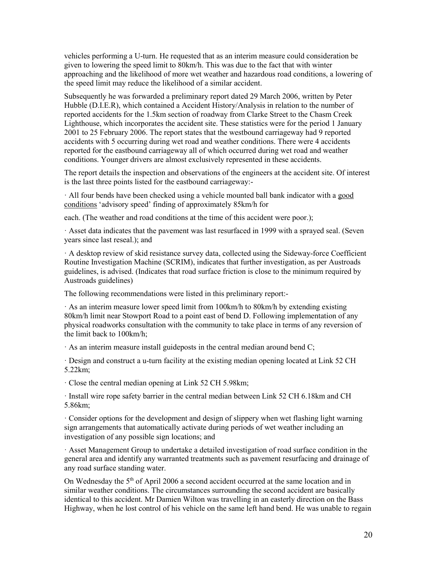vehicles performing a U-turn. He requested that as an interim measure could consideration be given to lowering the speed limit to 80km/h. This was due to the fact that with winter approaching and the likelihood of more wet weather and hazardous road conditions, a lowering of the speed limit may reduce the likelihood of a similar accident.

 Lighthouse, which incorporates the accident site. These statistics were for the period 1 January Subsequently he was forwarded a preliminary report dated 29 March 2006, written by Peter Hubble (D.I.E.R), which contained a Accident History/Analysis in relation to the number of reported accidents for the 1.5km section of roadway from Clarke Street to the Chasm Creek 2001 to 25 February 2006. The report states that the westbound carriageway had 9 reported accidents with 5 occurring during wet road and weather conditions. There were 4 accidents reported for the eastbound carriageway all of which occurred during wet road and weather conditions. Younger drivers are almost exclusively represented in these accidents.

 The report details the inspection and observations of the engineers at the accident site. Of interest is the last three points listed for the eastbound carriageway:-

· All four bends have been checked using a vehicle mounted ball bank indicator with a good conditions 'advisory speed' finding of approximately 85km/h for

each. (The weather and road conditions at the time of this accident were poor.);

· Asset data indicates that the pavement was last resurfaced in 1999 with a sprayed seal. (Seven years since last reseal.); and

 guidelines, is advised. (Indicates that road surface friction is close to the minimum required by · A desktop review of skid resistance survey data, collected using the Sideway-force Coefficient Routine Investigation Machine (SCRIM), indicates that further investigation, as per Austroads Austroads guidelines)

The following recommendations were listed in this preliminary report:-

 · As an interim measure lower speed limit from 100km/h to 80km/h by extending existing physical roadworks consultation with the community to take place in terms of any reversion of 80km/h limit near Stowport Road to a point east of bend D. Following implementation of any the limit back to 100km/h;

· As an interim measure install guideposts in the central median around bend C;

 · Design and construct a u-turn facility at the existing median opening located at Link 52 CH 5.22km;

· Close the central median opening at Link 52 CH 5.98km;

 · Install wire rope safety barrier in the central median between Link 52 CH 6.18km and CH 5.86km;

· Consider options for the development and design of slippery when wet flashing light warning sign arrangements that automatically activate during periods of wet weather including an investigation of any possible sign locations; and

· Asset Management Group to undertake a detailed investigation of road surface condition in the general area and identify any warranted treatments such as pavement resurfacing and drainage of any road surface standing water.

 similar weather conditions. The circumstances surrounding the second accident are basically On Wednesday the 5th of April 2006 a second accident occurred at the same location and in identical to this accident. Mr Damien Wilton was travelling in an easterly direction on the Bass Highway, when he lost control of his vehicle on the same left hand bend. He was unable to regain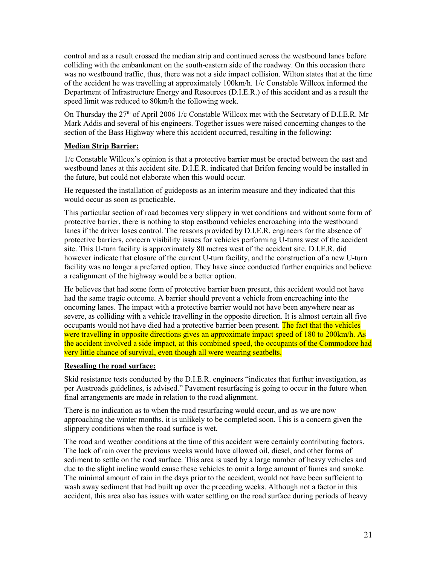speed limit was reduced to 80km/h the following week. control and as a result crossed the median strip and continued across the westbound lanes before colliding with the embankment on the south-eastern side of the roadway. On this occasion there was no westbound traffic, thus, there was not a side impact collision. Wilton states that at the time of the accident he was travelling at approximately 100km/h. 1/c Constable Willcox informed the Department of Infrastructure Energy and Resources (D.I.E.R.) of this accident and as a result the

 Mark Addis and several of his engineers. Together issues were raised concerning changes to the section of the Bass Highway where this accident occurred, resulting in the following: On Thursday the 27th of April 2006 1/c Constable Willcox met with the Secretary of D.I.E.R. Mr

#### **Median Strip Barrier:**

 1/c Constable Willcox's opinion is that a protective barrier must be erected between the east and the future, but could not elaborate when this would occur. westbound lanes at this accident site. D.I.E.R. indicated that Brifon fencing would be installed in

 He requested the installation of guideposts as an interim measure and they indicated that this would occur as soon as practicable.

 facility was no longer a preferred option. They have since conducted further enquiries and believe This particular section of road becomes very slippery in wet conditions and without some form of protective barrier, there is nothing to stop eastbound vehicles encroaching into the westbound lanes if the driver loses control. The reasons provided by D.I.E.R. engineers for the absence of protective barriers, concern visibility issues for vehicles performing U-turns west of the accident site. This U-turn facility is approximately 80 metres west of the accident site. D.I.E.R. did however indicate that closure of the current U-turn facility, and the construction of a new U-turn a realignment of the highway would be a better option.

 had the same tragic outcome. A barrier should prevent a vehicle from encroaching into the oncoming lanes. The impact with a protective barrier would not have been anywhere near as occupants would not have died had a protective barrier been present. The fact that the vehicles the accident involved a side impact, at this combined speed, the occupants of the Commodore had He believes that had some form of protective barrier been present, this accident would not have severe, as colliding with a vehicle travelling in the opposite direction. It is almost certain all five were travelling in opposite directions gives an approximate impact speed of 180 to 200km/h. As very little chance of survival, even though all were wearing seatbelts.

#### **Resealing the road surface:**

 Skid resistance tests conducted by the D.I.E.R. engineers "indicates that further investigation, as final arrangements are made in relation to the road alignment. per Austroads guidelines, is advised." Pavement resurfacing is going to occur in the future when

 There is no indication as to when the road resurfacing would occur, and as we are now approaching the winter months, it is unlikely to be completed soon. This is a concern given the slippery conditions when the road surface is wet.

The road and weather conditions at the time of this accident were certainly contributing factors. The lack of rain over the previous weeks would have allowed oil, diesel, and other forms of sediment to settle on the road surface. This area is used by a large number of heavy vehicles and due to the slight incline would cause these vehicles to omit a large amount of fumes and smoke. The minimal amount of rain in the days prior to the accident, would not have been sufficient to wash away sediment that had built up over the preceding weeks. Although not a factor in this accident, this area also has issues with water settling on the road surface during periods of heavy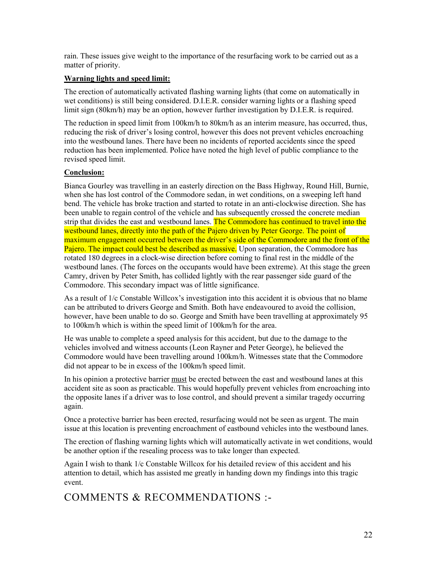rain. These issues give weight to the importance of the resurfacing work to be carried out as a matter of priority.

#### **Warning lights and speed limit:**

 wet conditions) is still being considered. D.I.E.R. consider warning lights or a flashing speed The erection of automatically activated flashing warning lights (that come on automatically in limit sign (80km/h) may be an option, however further investigation by D.I.E.R. is required.

 reducing the risk of driver's losing control, however this does not prevent vehicles encroaching into the westbound lanes. There have been no incidents of reported accidents since the speed The reduction in speed limit from 100km/h to 80km/h as an interim measure, has occurred, thus, reduction has been implemented. Police have noted the high level of public compliance to the revised speed limit.

#### **Conclusion:**

 when she has lost control of the Commodore sedan, in wet conditions, on a sweeping left hand bend. The vehicle has broke traction and started to rotate in an anti-clockwise direction. She has westbound lanes, directly into the path of the Pajero driven by Peter George. The point of maximum engagement occurred between the driver's side of the Commodore and the front of the Bianca Gourley was travelling in an easterly direction on the Bass Highway, Round Hill, Burnie, been unable to regain control of the vehicle and has subsequently crossed the concrete median strip that divides the east and westbound lanes. The Commodore has continued to travel into the Pajero. The impact could best be described as massive. Upon separation, the Commodore has rotated 180 degrees in a clock-wise direction before coming to final rest in the middle of the westbound lanes. (The forces on the occupants would have been extreme). At this stage the green Camry, driven by Peter Smith, has collided lightly with the rear passenger side guard of the Commodore. This secondary impact was of little significance.

 to 100km/h which is within the speed limit of 100km/h for the area. As a result of 1/c Constable Willcox's investigation into this accident it is obvious that no blame can be attributed to drivers George and Smith. Both have endeavoured to avoid the collision, however, have been unable to do so. George and Smith have been travelling at approximately 95

 He was unable to complete a speed analysis for this accident, but due to the damage to the Commodore would have been travelling around 100km/h. Witnesses state that the Commodore vehicles involved and witness accounts (Leon Rayner and Peter George), he believed the did not appear to be in excess of the 100km/h speed limit.

In his opinion a protective barrier must be erected between the east and westbound lanes at this the opposite lanes if a driver was to lose control, and should prevent a similar tragedy occurring accident site as soon as practicable. This would hopefully prevent vehicles from encroaching into again.

 Once a protective barrier has been erected, resurfacing would not be seen as urgent. The main issue at this location is preventing encroachment of eastbound vehicles into the westbound lanes.

The erection of flashing warning lights which will automatically activate in wet conditions, would be another option if the resealing process was to take longer than expected.

Again I wish to thank 1/c Constable Willcox for his detailed review of this accident and his attention to detail, which has assisted me greatly in handing down my findings into this tragic event.

COMMENTS & RECOMMENDATIONS :-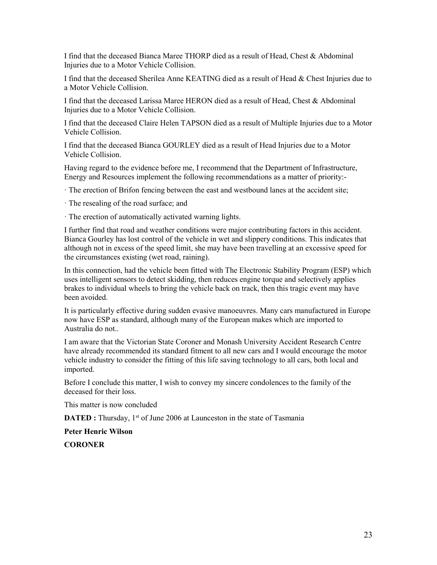I find that the deceased Bianca Maree THORP died as a result of Head, Chest & Abdominal Injuries due to a Motor Vehicle Collision.

I find that the deceased Sherilea Anne KEATING died as a result of Head & Chest Injuries due to a Motor Vehicle Collision.

 Injuries due to a Motor Vehicle Collision. I find that the deceased Larissa Maree HERON died as a result of Head, Chest & Abdominal

I find that the deceased Claire Helen TAPSON died as a result of Multiple Injuries due to a Motor Vehicle Collision.

 I find that the deceased Bianca GOURLEY died as a result of Head Injuries due to a Motor Vehicle Collision.

Having regard to the evidence before me, I recommend that the Department of Infrastructure, Energy and Resources implement the following recommendations as a matter of priority:-

· The erection of Brifon fencing between the east and westbound lanes at the accident site;

· The resealing of the road surface; and

· The erection of automatically activated warning lights.

 I further find that road and weather conditions were major contributing factors in this accident. Bianca Gourley has lost control of the vehicle in wet and slippery conditions. This indicates that although not in excess of the speed limit, she may have been travelling at an excessive speed for the circumstances existing (wet road, raining).

 brakes to individual wheels to bring the vehicle back on track, then this tragic event may have In this connection, had the vehicle been fitted with The Electronic Stability Program (ESP) which uses intelligent sensors to detect skidding, then reduces engine torque and selectively applies been avoided.

It is particularly effective during sudden evasive manoeuvres. Many cars manufactured in Europe now have ESP as standard, although many of the European makes which are imported to Australia do not..

I am aware that the Victorian State Coroner and Monash University Accident Research Centre have already recommended its standard fitment to all new cars and I would encourage the motor vehicle industry to consider the fitting of this life saving technology to all cars, both local and imported.

Before I conclude this matter, I wish to convey my sincere condolences to the family of the deceased for their loss.

This matter is now concluded

**DATED :** Thursday, 1<sup>st</sup> of June 2006 at Launceston in the state of Tasmania

**Peter Henric Wilson** 

**CORONER**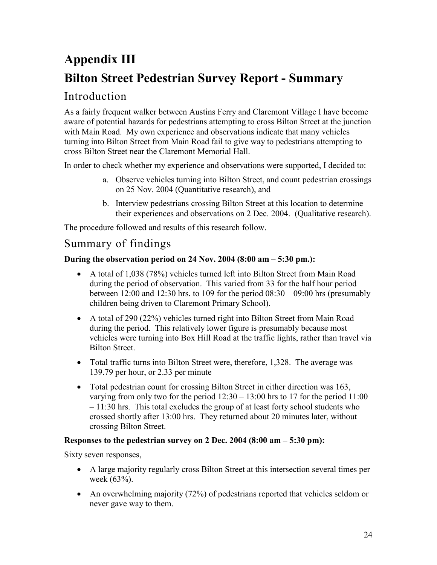# **Appendix III Bilton Street Pedestrian Survey Report - Summary**

# Introduction

 with Main Road. My own experience and observations indicate that many vehicles As a fairly frequent walker between Austins Ferry and Claremont Village I have become aware of potential hazards for pedestrians attempting to cross Bilton Street at the junction turning into Bilton Street from Main Road fail to give way to pedestrians attempting to cross Bilton Street near the Claremont Memorial Hall.

In order to check whether my experience and observations were supported, I decided to:

- a. Observe vehicles turning into Bilton Street, and count pedestrian crossings on 25 Nov. 2004 (Quantitative research), and
- b. Interview pedestrians crossing Bilton Street at this location to determine their experiences and observations on 2 Dec. 2004. (Qualitative research).

The procedure followed and results of this research follow.

# Summary of findings

# **During the observation period on 24 Nov. 2004 (8:00 am – 5:30 pm.):**

- A total of 1,038 (78%) vehicles turned left into Bilton Street from Main Road during the period of observation. This varied from 33 for the half hour period between 12:00 and 12:30 hrs. to 109 for the period  $08:30 - 09:00$  hrs (presumably children being driven to Claremont Primary School).
- A total of 290 (22%) vehicles turned right into Bilton Street from Main Road during the period. This relatively lower figure is presumably because most vehicles were turning into Box Hill Road at the traffic lights, rather than travel via Bilton Street.
- Total traffic turns into Bilton Street were, therefore, 1,328. The average was 139.79 per hour, or 2.33 per minute
- Total pedestrian count for crossing Bilton Street in either direction was 163, varying from only two for the period 12:30 – 13:00 hrs to 17 for the period 11:00  $-11:30$  hrs. This total excludes the group of at least forty school students who crossed shortly after 13:00 hrs. They returned about 20 minutes later, without crossing Bilton Street.

## **Responses to the pedestrian survey on 2 Dec. 2004 (8:00 am – 5:30 pm):**

Sixty seven responses,

- A large majority regularly cross Bilton Street at this intersection several times per week (63%).
- An overwhelming majority (72%) of pedestrians reported that vehicles seldom or never gave way to them.